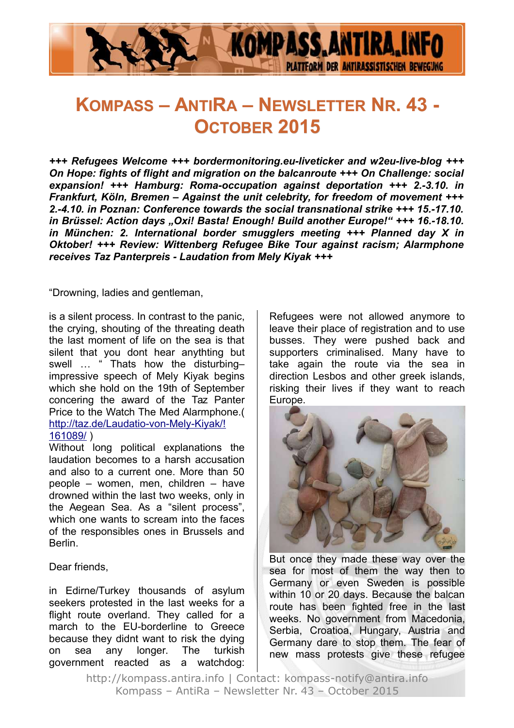

# **KOMPASS – ANTIRA – NEWSLETTER NR. 43 - OCTOBER 2015**

*+++ Refugees Welcome +++ bordermonitoring.eu-liveticker and w2eu-live-blog +++ On Hope: fights of flight and migration on the balcanroute +++ On Challenge: social expansion! +++ Hamburg: Roma-occupation against deportation +++ 2.-3.10. in Frankfurt, Köln, Bremen – Against the unit celebrity, for freedom of movement +++ 2.-4.10. in Poznan: Conference towards the social transnational strike +++ 15.-17.10.* in Brüssel: Action days "Oxi! Basta! Enough! Build another Europe!" +++ 16.-18.10. *in München: 2. International border smugglers meeting +++ Planned day X in Oktober! +++ Review: Wittenberg Refugee Bike Tour against racism; Alarmphone receives Taz Panterpreis - Laudation from Mely Kiyak +++*

"Drowning, ladies and gentleman,

is a silent process. In contrast to the panic, the crying, shouting of the threating death the last moment of life on the sea is that silent that you dont hear anythting but swell ... " Thats how the disturbingimpressive speech of Mely Kiyak begins which she hold on the 19th of September concering the award of the Taz Panter Price to the Watch The Med Alarmphone.( [http://taz.de/Laudatio-von-Mely-Kiyak/!](http://taz.de/Laudatio-von-Mely-Kiyak/!161089/) [161089/](http://taz.de/Laudatio-von-Mely-Kiyak/!161089/) )

Without long political explanations the laudation becomes to a harsh accusation and also to a current one. More than 50 people – women, men, children – have drowned within the last two weeks, only in the Aegean Sea. As a "silent process", which one wants to scream into the faces of the responsibles ones in Brussels and Berlin.

#### Dear friends,

in Edirne/Turkey thousands of asylum seekers protested in the last weeks for a flight route overland. They called for a march to the EU-borderline to Greece because they didnt want to risk the dying on sea any longer. The turkish government reacted as a watchdog: Refugees were not allowed anymore to leave their place of registration and to use busses. They were pushed back and supporters criminalised. Many have to take again the route via the sea in direction Lesbos and other greek islands, risking their lives if they want to reach Europe.



But once they made these way over the sea for most of them the way then to Germany or even Sweden is possible within 10 or 20 days. Because the balcan route has been fighted free in the last weeks. No government from Macedonia, Serbia, Croatioa, Hungary, Austria and Germany dare to stop them. The fear of new mass protests give these refugee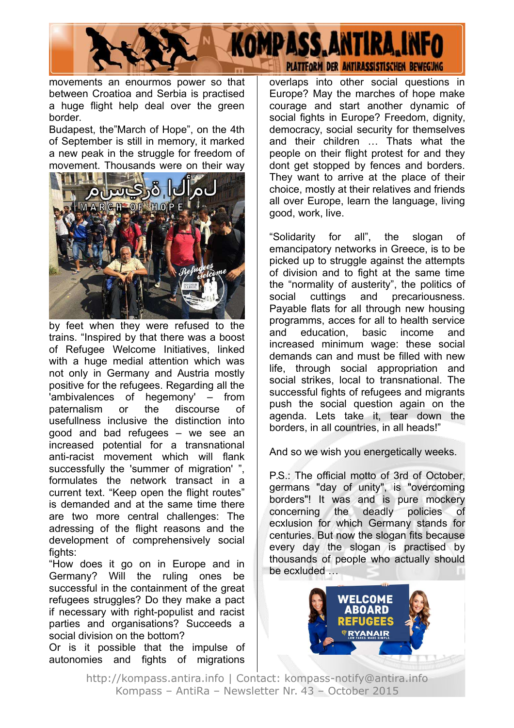

movements an enourmos power so that between Croatioa and Serbia is practised a huge flight help deal over the green border.

Budapest, the"March of Hope", on the 4th of September is still in memory, it marked a new peak in the struggle for freedom of movement. Thousands were on their way



by feet when they were refused to the trains. "Inspired by that there was a boost of Refugee Welcome Initiatives, linked with a huge medial attention which was not only in Germany and Austria mostly positive for the refugees. Regarding all the 'ambivalences of hegemony' – from paternalism or the discourse of usefullness inclusive the distinction into good and bad refugees – we see an increased potential for a transnational anti-racist movement which will flank successfully the 'summer of migration' ", formulates the network transact in a current text. "Keep open the flight routes" is demanded and at the same time there are two more central challenges: The adressing of the flight reasons and the development of comprehensively social fights:

"How does it go on in Europe and in Germany? Will the ruling ones be successful in the containment of the great refugees struggles? Do they make a pact if necessary with right-populist and racist parties and organisations? Succeeds a social division on the bottom?

Or is it possible that the impulse of autonomies and fights of migrations

overlaps into other social questions in Europe? May the marches of hope make courage and start another dynamic of social fights in Europe? Freedom, dignity, democracy, social security for themselves and their children … Thats what the people on their flight protest for and they dont get stopped by fences and borders. They want to arrive at the place of their choice, mostly at their relatives and friends all over Europe, learn the language, living good, work, live.

"Solidarity for all", the slogan of emancipatory networks in Greece, is to be picked up to struggle against the attempts of division and to fight at the same time the "normality of austerity", the politics of social cuttings and precariousness. Payable flats for all through new housing programms, acces for all to health service and education, basic income and increased minimum wage: these social demands can and must be filled with new life, through social appropriation and social strikes, local to transnational. The successful fights of refugees and migrants push the social question again on the agenda. Lets take it, tear down the borders, in all countries, in all heads!"

And so we wish you energetically weeks.

P.S.: The official motto of 3rd of October, germans "day of unity", is "overcoming borders"! It was and is pure mockery concerning the deadly policies of ecxlusion for which Germany stands for centuries. But now the slogan fits because every day the slogan is practised by thousands of people who actually should be ecxluded …

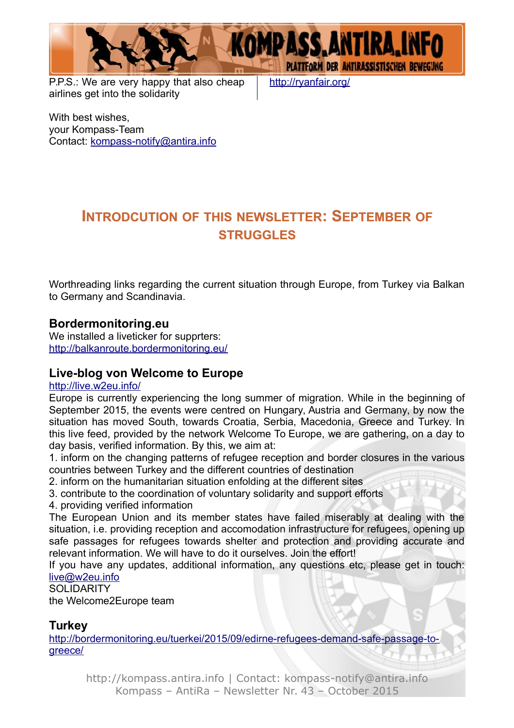

P.P.S.: We are very happy that also cheap airlines get into the solidarity

<http://ryanfair.org/>

With best wishes, your Kompass-Team Contact: [kompass-notify@antira.inf](mailto:kompass-notify@antira.info)o

### **INTRODCUTION OF THIS NEWSLETTER: SEPTEMBER OF STRUGGLES**

Worthreading links regarding the current situation through Europe, from Turkey via Balkan to Germany and Scandinavia.

#### **Bordermonitoring.eu**

We installed a liveticker for supprters: <http://balkanroute.bordermonitoring.eu/>

#### **Live-blog von Welcome to Europe**

#### <http://live.w2eu.info/>

Europe is currently experiencing the long summer of migration. While in the beginning of September 2015, the events were centred on Hungary, Austria and Germany, by now the situation has moved South, towards Croatia, Serbia, Macedonia, Greece and Turkey. In this live feed, provided by the network Welcome To Europe, we are gathering, on a day to day basis, verified information. By this, we aim at:

1. inform on the changing patterns of refugee reception and border closures in the various countries between Turkey and the different countries of destination

2. inform on the humanitarian situation enfolding at the different sites

3. contribute to the coordination of voluntary solidarity and support efforts

4. providing verified information

The European Union and its member states have failed miserably at dealing with the situation, i.e. providing reception and accomodation infrastructure for refugees, opening up safe passages for refugees towards shelter and protection and providing accurate and relevant information. We will have to do it ourselves. Join the effort!

If you have any updates, additional information, any questions etc, please get in touch: [live@w2eu.info](mailto:live@w2eu.info)

**SOLIDARITY** 

the Welcome2Europe team

#### **Turkey**

[http://bordermonitoring.eu/tuerkei/2015/09/edirne-refugees-demand-safe-passage-to](http://bordermonitoring.eu/tuerkei/2015/09/edirne-refugees-demand-safe-passage-to-greece/)[greece/](http://bordermonitoring.eu/tuerkei/2015/09/edirne-refugees-demand-safe-passage-to-greece/)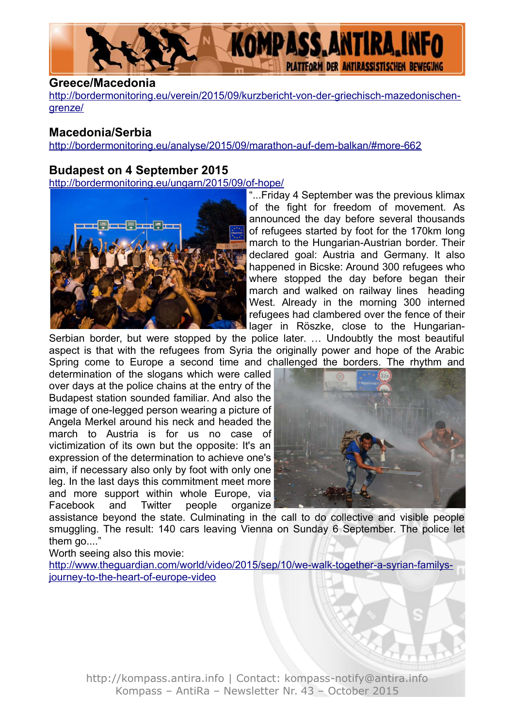

#### **Greece/Macedonia**

[http://bordermonitoring.eu/verein/2015/09/kurzbericht-von-der-griechisch-mazedonischen](http://bordermonitoring.eu/verein/2015/09/kurzbericht-von-der-griechisch-mazedonischen-grenze/)[grenze/](http://bordermonitoring.eu/verein/2015/09/kurzbericht-von-der-griechisch-mazedonischen-grenze/)

### **Macedonia/Serbia**

<http://bordermonitoring.eu/analyse/2015/09/marathon-auf-dem-balkan/#more-662>

#### **Budapest on 4 September 2015**

<http://bordermonitoring.eu/ungarn/2015/09/of-hope/>



"...Friday 4 September was the previous klimax of the fight for freedom of movement. As announced the day before several thousands of refugees started by foot for the 170km long march to the Hungarian-Austrian border. Their declared goal: Austria and Germany. It also happened in Bicske: Around 300 refugees who where stopped the day before began their march and walked on railway lines heading West. Already in the morning 300 interned refugees had clambered over the fence of their lager in Röszke, close to the Hungarian-

Serbian border, but were stopped by the police later. … Undoubtly the most beautiful aspect is that with the refugees from Syria the originally power and hope of the Arabic Spring come to Europe a second time and challenged the borders. The rhythm and

determination of the slogans which were called over days at the police chains at the entry of the Budapest station sounded familiar. And also the image of one-legged person wearing a picture of Angela Merkel around his neck and headed the march to Austria is for us no case of victimization of its own but the opposite: It's an expression of the determination to achieve one's aim, if necessary also only by foot with only one leg. In the last days this commitment meet more and more support within whole Europe, via Facebook and Twitter people organize



assistance beyond the state. Culminating in the call to do collective and visible people smuggling. The result: 140 cars leaving Vienna on Sunday 6 September. The police let them go...."

Worth seeing also this movie:

[http://www.theguardian.com/world/video/2015/sep/10/we-walk-together-a-syrian-familys](http://www.theguardian.com/world/video/2015/sep/10/we-walk-together-a-syrian-familys-journey-to-the-heart-of-europe-video)[journey-to-the-heart-of-europe-video](http://www.theguardian.com/world/video/2015/sep/10/we-walk-together-a-syrian-familys-journey-to-the-heart-of-europe-video)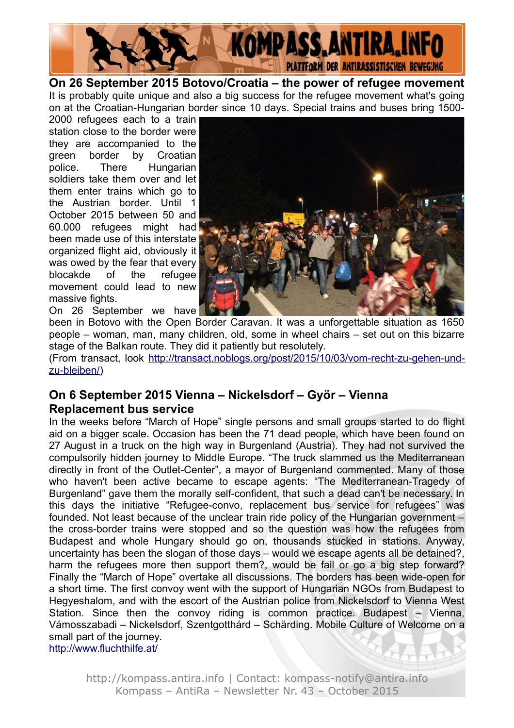

**On 26 September 2015 Botovo/Croatia – the power of refugee movement** It is probably quite unique and also a big success for the refugee movement what's going on at the Croatian-Hungarian border since 10 days. Special trains and buses bring 1500-

2000 refugees each to a train station close to the border were they are accompanied to the green border by Croatian police. There Hungarian soldiers take them over and let them enter trains which go to the Austrian border. Until 1 October 2015 between 50 and 60.000 refugees might had been made use of this interstate organized flight aid, obviously it was owed by the fear that every blocakde of the refugee movement could lead to new massive fights.



On 26 September we have been in Botovo with the Open Border Caravan. It was a unforgettable situation as 1650 people – woman, man, many children, old, some in wheel chairs – set out on this bizarre stage of the Balkan route. They did it patiently but resolutely.

(From transact, look [http://transact.noblogs.org/post/2015/10/03/vom-recht-zu-gehen-und](http://transact.noblogs.org/post/2015/10/03/vom-recht-zu-gehen-und-zu-bleiben/)[zu-bleiben/\)](http://transact.noblogs.org/post/2015/10/03/vom-recht-zu-gehen-und-zu-bleiben/)

#### **On 6 September 2015 Vienna – Nickelsdorf – Györ – Vienna Replacement bus service**

In the weeks before "March of Hope" single persons and small groups started to do flight aid on a bigger scale. Occasion has been the 71 dead people, which have been found on 27 August in a truck on the high way in Burgenland (Austria). They had not survived the compulsorily hidden journey to Middle Europe. "The truck slammed us the Mediterranean directly in front of the Outlet-Center", a mayor of Burgenland commented. Many of those who haven't been active became to escape agents: "The Mediterranean-Tragedy of Burgenland" gave them the morally self-confident, that such a dead can't be necessary. In this days the initiative "Refugee-convo, replacement bus service for refugees" was founded. Not least because of the unclear train ride policy of the Hungarian government – the cross-border trains were stopped and so the question was how the refugees from Budapest and whole Hungary should go on, thousands stucked in stations. Anyway, uncertainty has been the slogan of those days – would we escape agents all be detained?, harm the refugees more then support them?, would be fail or go a big step forward? Finally the "March of Hope" overtake all discussions. The borders has been wide-open for a short time. The first convoy went with the support of Hungarian NGOs from Budapest to Hegyeshalom, and with the escort of the Austrian police from Nickelsdorf to Vienna West Station. Since then the convoy riding is common practice. Budapest – Vienna, Vámosszabadi – Nickelsdorf, Szentgotthárd – Schärding. Mobile Culture of Welcome on a small part of the journey. <http://www.fluchthilfe.at/>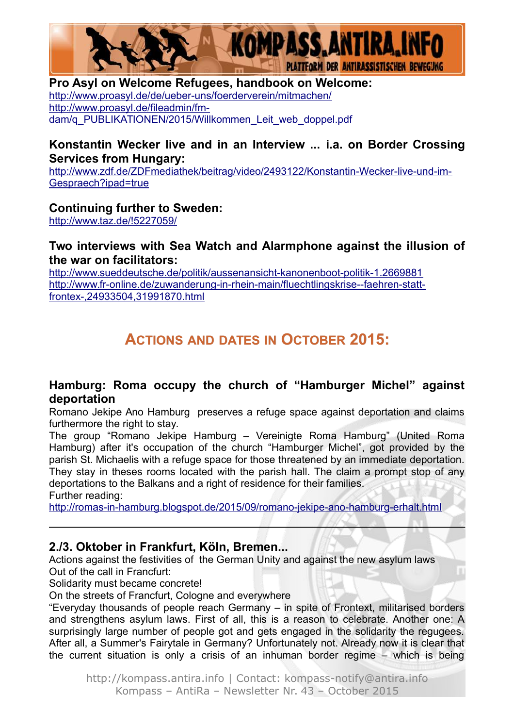

#### **Pro Asyl on Welcome Refugees, handbook on Welcome:**

<http://www.proasyl.de/de/ueber-uns/foerderverein/mitmachen/> [http://www.proasyl.de/fileadmin/fm](http://www.proasyl.de/fileadmin/fm-dam/q_PUBLIKATIONEN/2015/Willkommen_Leit_web_doppel.pdf)[dam/q\\_PUBLIKATIONEN/2015/Willkommen\\_Leit\\_web\\_doppel.pdf](http://www.proasyl.de/fileadmin/fm-dam/q_PUBLIKATIONEN/2015/Willkommen_Leit_web_doppel.pdf)

#### **Konstantin Wecker live and in an Interview ... i.a. on Border Crossing Services from Hungary:**

[http://www.zdf.de/ZDFmediathek/beitrag/video/2493122/Konstantin-Wecker-live-und-im-](http://www.zdf.de/ZDFmediathek/beitrag/video/2493122/Konstantin-Wecker-live-und-im-Gespraech?ipad=true)[Gespraech?ipad=true](http://www.zdf.de/ZDFmediathek/beitrag/video/2493122/Konstantin-Wecker-live-und-im-Gespraech?ipad=true)

#### **Continuing further to Sweden:**

<http://www.taz.de/!5227059/>

#### **Two interviews with Sea Watch and Alarmphone against the illusion of the war on facilitators:**

<http://www.sueddeutsche.de/politik/aussenansicht-kanonenboot-politik-1.2669881> [http://www.fr-online.de/zuwanderung-in-rhein-main/fluechtlingskrise--faehren-statt](http://www.fr-online.de/zuwanderung-in-rhein-main/fluechtlingskrise--faehren-statt-frontex-,24933504,31991870.html)[frontex-,24933504,31991870.html](http://www.fr-online.de/zuwanderung-in-rhein-main/fluechtlingskrise--faehren-statt-frontex-,24933504,31991870.html)

# **ACTIONS AND DATES IN OCTOBER 2015:**

#### **Hamburg: Roma occupy the church of "Hamburger Michel" against deportation**

Romano Jekipe Ano Hamburg preserves a refuge space against deportation and claims furthermore the right to stay.

The group "Romano Jekipe Hamburg – Vereinigte Roma Hamburg" (United Roma Hamburg) after it's occupation of the church "Hamburger Michel", got provided by the parish St. Michaelis with a refuge space for those threatened by an immediate deportation. They stay in theses rooms located with the parish hall. The claim a prompt stop of any deportations to the Balkans and a right of residence for their families. Further reading:

<http://romas-in-hamburg.blogspot.de/2015/09/romano-jekipe-ano-hamburg-erhalt.html>

#### **2./3. Oktober in Frankfurt, Köln, Bremen...**

Actions against the festivities of the German Unity and against the new asylum laws Out of the call in Francfurt:

Solidarity must became concrete!

On the streets of Francfurt, Cologne and everywhere

"Everyday thousands of people reach Germany – in spite of Frontext, militarised borders and strengthens asylum laws. First of all, this is a reason to celebrate. Another one: A surprisingly large number of people got and gets engaged in the solidarity the regugees. After all, a Summer's Fairytale in Germany? Unfortunately not. Already now it is clear that the current situation is only a crisis of an inhuman border regime – which is being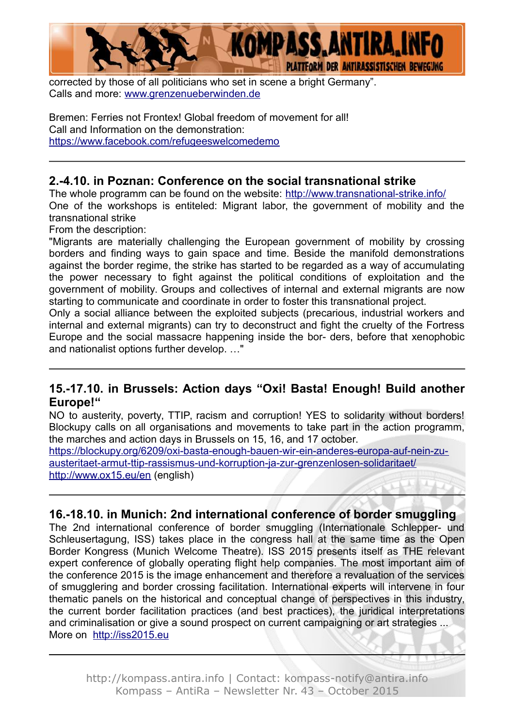

corrected by those of all politicians who set in scene a bright Germany". Calls and more: [www.grenzenueberwinden.de](http://www.grenzenueberwinden.de/)

Bremen: Ferries not Frontex! Global freedom of movement for all! Call and Information on the demonstration: <https://www.facebook.com/refugeeswelcomedemo>

### **2.-4.10. in Poznan: Conference on the social transnational strike**

The whole programm can be found on the website: <http://www.transnational-strike.info/> One of the workshops is entiteled: Migrant labor, the government of mobility and the transnational strike

From the description:

"Migrants are materially challenging the European government of mobility by crossing borders and finding ways to gain space and time. Beside the manifold demonstrations against the border regime, the strike has started to be regarded as a way of accumulating the power necessary to fight against the political conditions of exploitation and the government of mobility. Groups and collectives of internal and external migrants are now starting to communicate and coordinate in order to foster this transnational project.

Only a social alliance between the exploited subjects (precarious, industrial workers and internal and external migrants) can try to deconstruct and fight the cruelty of the Fortress Europe and the social massacre happening inside the bor- ders, before that xenophobic and nationalist options further develop. …"

#### **15.-17.10. in Brussels: Action days "Oxi! Basta! Enough! Build another Europe!"**

NO to austerity, poverty, TTIP, racism and corruption! YES to solidarity without borders! Blockupy calls on all organisations and movements to take part in the action programm, the marches and action days in Brussels on 15, 16, and 17 october.

[https://blockupy.org/6209/oxi-basta-enough-bauen-wir-ein-anderes-europa-auf-nein-zu](https://blockupy.org/6209/oxi-basta-enough-bauen-wir-ein-anderes-europa-auf-nein-zu-austeritaet-armut-ttip-rassismus-und-korruption-ja-zur-grenzenlosen-solidaritaet/)[austeritaet-armut-ttip-rassismus-und-korruption-ja-zur-grenzenlosen-solidaritaet/](https://blockupy.org/6209/oxi-basta-enough-bauen-wir-ein-anderes-europa-auf-nein-zu-austeritaet-armut-ttip-rassismus-und-korruption-ja-zur-grenzenlosen-solidaritaet/) <http://www.ox15.eu/en>(english)

#### **16.-18.10. in Munich: 2nd international conference of border smuggling**

The 2nd international conference of border smuggling (Internationale Schlepper- und Schleusertagung, ISS) takes place in the congress hall at the same time as the Open Border Kongress (Munich Welcome Theatre). ISS 2015 presents itself as THE relevant expert conference of globally operating flight help companies. The most important aim of the conference 2015 is the image enhancement and therefore a revaluation of the services of smugglering and border crossing facilitation. International experts will intervene in four thematic panels on the historical and conceptual change of perspectives in this industry, the current border facilitation practices (and best practices), the juridical interpretations and criminalisation or give a sound prospect on current campaigning or art strategies ... More on [http://iss2015.eu](http://iss2015.eu/)